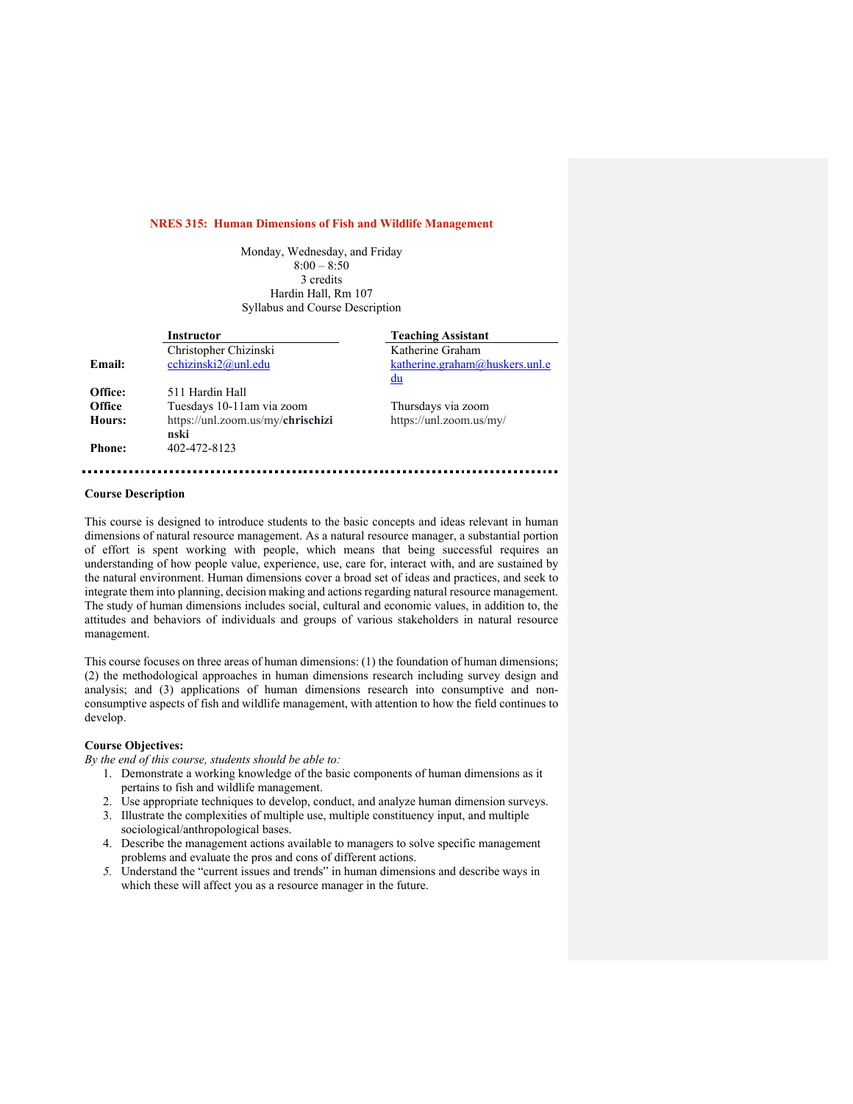#### **NRES 315: Human Dimensions of Fish and Wildlife Management**

Monday, Wednesday, and Friday  $8:00 - 8:50$ 3 credits Hardin Hall, Rm 107 Syllabus and Course Description

|               | Instructor                                | <b>Teaching Assistant</b>      |
|---------------|-------------------------------------------|--------------------------------|
|               | Christopher Chizinski                     | Katherine Graham               |
| Email:        | cchizinski $2@$ unl.edu                   | katherine.graham@huskers.unl.e |
|               |                                           | du                             |
| Office:       | 511 Hardin Hall                           |                                |
| <b>Office</b> | Tuesdays 10-11am via zoom                 | Thursdays via zoom             |
| Hours:        | https://unl.zoom.us/my/ <b>chrischizi</b> | https://unl.zoom.us/my/        |
|               | nski                                      |                                |
| <b>Phone:</b> | 402-472-8123                              |                                |
|               |                                           |                                |

### **Course Description**

This course is designed to introduce students to the basic concepts and ideas relevant in human dimensions of natural resource management. As a natural resource manager, a substantial portion of effort is spent working with people, which means that being successful requires an understanding of how people value, experience, use, care for, interact with, and are sustained by the natural environment. Human dimensions cover a broad set of ideas and practices, and seek to integrate them into planning, decision making and actions regarding natural resource management. The study of human dimensions includes social, cultural and economic values, in addition to, the attitudes and behaviors of individuals and groups of various stakeholders in natural resource management.

This course focuses on three areas of human dimensions: (1) the foundation of human dimensions; (2) the methodological approaches in human dimensions research including survey design and analysis; and (3) applications of human dimensions research into consumptive and nonconsumptive aspects of fish and wildlife management, with attention to how the field continues to develop.

# **Course Objectives:**

*By the end of this course, students should be able to:*

- 1. Demonstrate a working knowledge of the basic components of human dimensions as it pertains to fish and wildlife management.
- 2. Use appropriate techniques to develop, conduct, and analyze human dimension surveys.
- 3. Illustrate the complexities of multiple use, multiple constituency input, and multiple sociological/anthropological bases.
- 4. Describe the management actions available to managers to solve specific management problems and evaluate the pros and cons of different actions.
- *5.* Understand the "current issues and trends" in human dimensions and describe ways in which these will affect you as a resource manager in the future.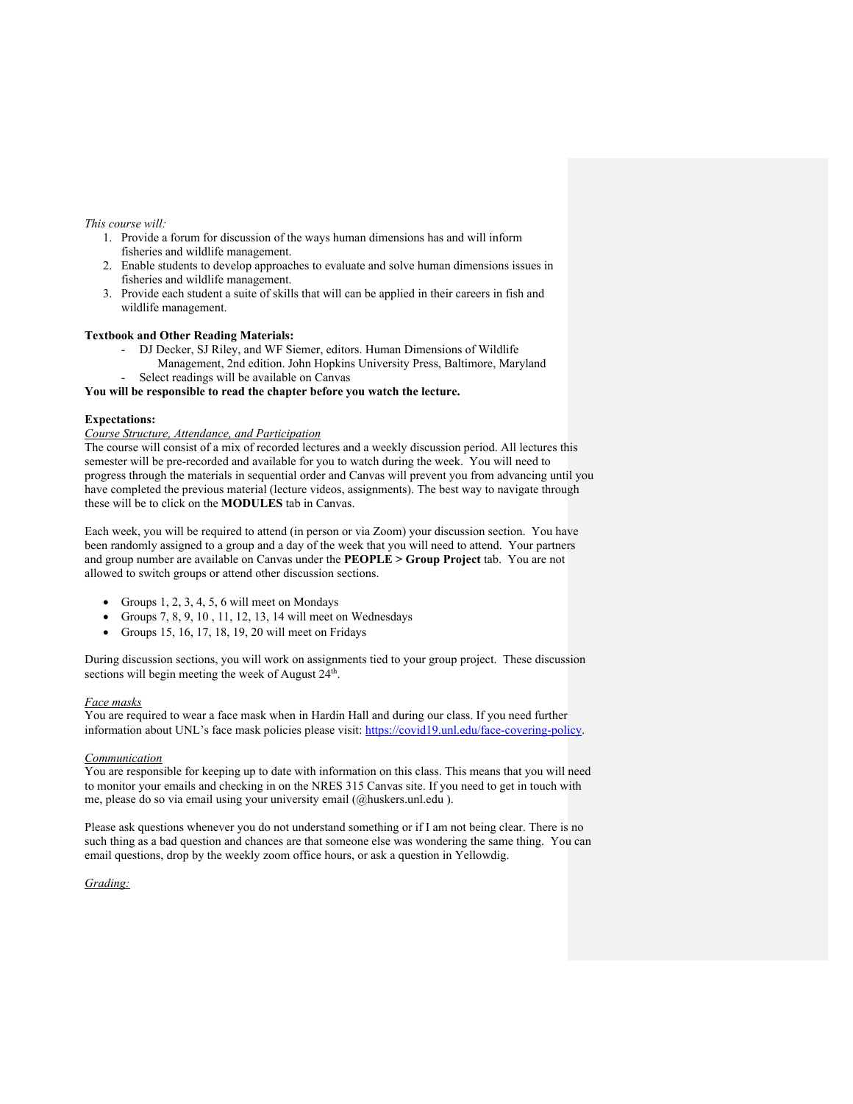## *This course will:*

- 1. Provide a forum for discussion of the ways human dimensions has and will inform fisheries and wildlife management.
- 2. Enable students to develop approaches to evaluate and solve human dimensions issues in fisheries and wildlife management.
- 3. Provide each student a suite of skills that will can be applied in their careers in fish and wildlife management.

## **Textbook and Other Reading Materials:**

- DJ Decker, SJ Riley, and WF Siemer, editors. Human Dimensions of Wildlife Management, 2nd edition. John Hopkins University Press, Baltimore, Maryland
	- Select readings will be available on Canvas

**You will be responsible to read the chapter before you watch the lecture.** 

## **Expectations:**

#### *Course Structure, Attendance, and Participation*

The course will consist of a mix of recorded lectures and a weekly discussion period. All lectures this semester will be pre-recorded and available for you to watch during the week. You will need to progress through the materials in sequential order and Canvas will prevent you from advancing until you have completed the previous material (lecture videos, assignments). The best way to navigate through these will be to click on the **MODULES** tab in Canvas.

Each week, you will be required to attend (in person or via Zoom) your discussion section. You have been randomly assigned to a group and a day of the week that you will need to attend. Your partners and group number are available on Canvas under the **PEOPLE > Group Project** tab. You are not allowed to switch groups or attend other discussion sections.

- Groups  $1, 2, 3, 4, 5, 6$  will meet on Mondays
- Groups 7, 8, 9, 10 , 11, 12, 13, 14 will meet on Wednesdays
- Groups 15, 16, 17, 18, 19, 20 will meet on Fridays

During discussion sections, you will work on assignments tied to your group project. These discussion sections will begin meeting the week of August 24<sup>th</sup>.

#### *Face masks*

You are required to wear a face mask when in Hardin Hall and during our class. If you need further information about UNL's face mask policies please visit: https://covid19.unl.edu/face-covering-policy.

#### *Communication*

You are responsible for keeping up to date with information on this class. This means that you will need to monitor your emails and checking in on the NRES 315 Canvas site. If you need to get in touch with me, please do so via email using your university email (@huskers.unl.edu ).

Please ask questions whenever you do not understand something or if I am not being clear. There is no such thing as a bad question and chances are that someone else was wondering the same thing. You can email questions, drop by the weekly zoom office hours, or ask a question in Yellowdig.

## *Grading:*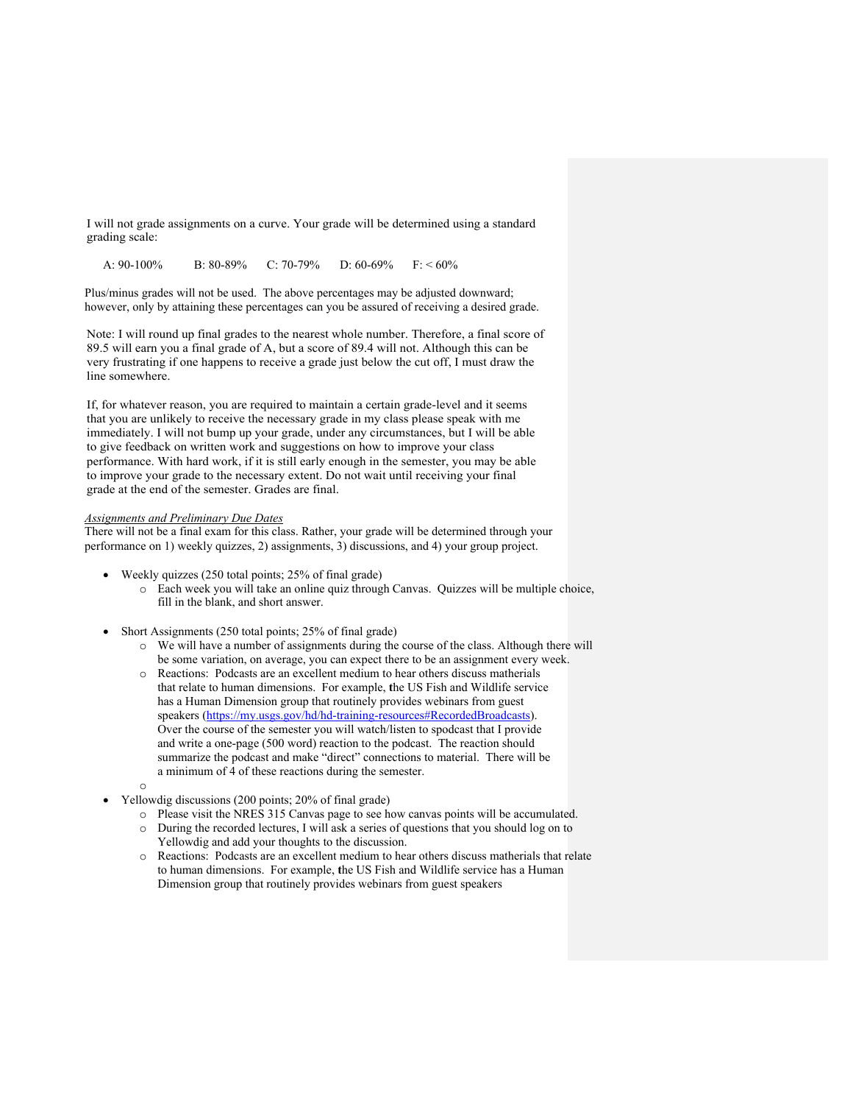I will not grade assignments on a curve. Your grade will be determined using a standard grading scale:

A:  $90-100\%$  B:  $80-89\%$  C:  $70-79\%$  D:  $60-69\%$  F: <  $60\%$ 

Plus/minus grades will not be used. The above percentages may be adjusted downward; however, only by attaining these percentages can you be assured of receiving a desired grade.

Note: I will round up final grades to the nearest whole number. Therefore, a final score of 89.5 will earn you a final grade of A, but a score of 89.4 will not. Although this can be very frustrating if one happens to receive a grade just below the cut off, I must draw the line somewhere.

If, for whatever reason, you are required to maintain a certain grade-level and it seems that you are unlikely to receive the necessary grade in my class please speak with me immediately. I will not bump up your grade, under any circumstances, but I will be able to give feedback on written work and suggestions on how to improve your class performance. With hard work, if it is still early enough in the semester, you may be able to improve your grade to the necessary extent. Do not wait until receiving your final grade at the end of the semester. Grades are final.

#### *Assignments and Preliminary Due Dates*

There will not be a final exam for this class. Rather, your grade will be determined through your performance on 1) weekly quizzes, 2) assignments, 3) discussions, and 4) your group project.

- Weekly quizzes (250 total points; 25% of final grade)
	- o Each week you will take an online quiz through Canvas. Quizzes will be multiple choice, fill in the blank, and short answer.
- Short Assignments (250 total points; 25% of final grade)
	- o We will have a number of assignments during the course of the class. Although there will be some variation, on average, you can expect there to be an assignment every week.
	- o Reactions: Podcasts are an excellent medium to hear others discuss matherials that relate to human dimensions. For example, **t**he US Fish and Wildlife service has a Human Dimension group that routinely provides webinars from guest speakers (https://my.usgs.gov/hd/hd-training-resources#RecordedBroadcasts). Over the course of the semester you will watch/listen to spodcast that I provide and write a one-page (500 word) reaction to the podcast. The reaction should summarize the podcast and make "direct" connections to material. There will be a minimum of 4 of these reactions during the semester.
	- o
	- Yellowdig discussions (200 points; 20% of final grade)
		- o Please visit the NRES 315 Canvas page to see how canvas points will be accumulated. o During the recorded lectures, I will ask a series of questions that you should log on to Yellowdig and add your thoughts to the discussion.
		- o Reactions: Podcasts are an excellent medium to hear others discuss matherials that relate to human dimensions. For example, **t**he US Fish and Wildlife service has a Human Dimension group that routinely provides webinars from guest speakers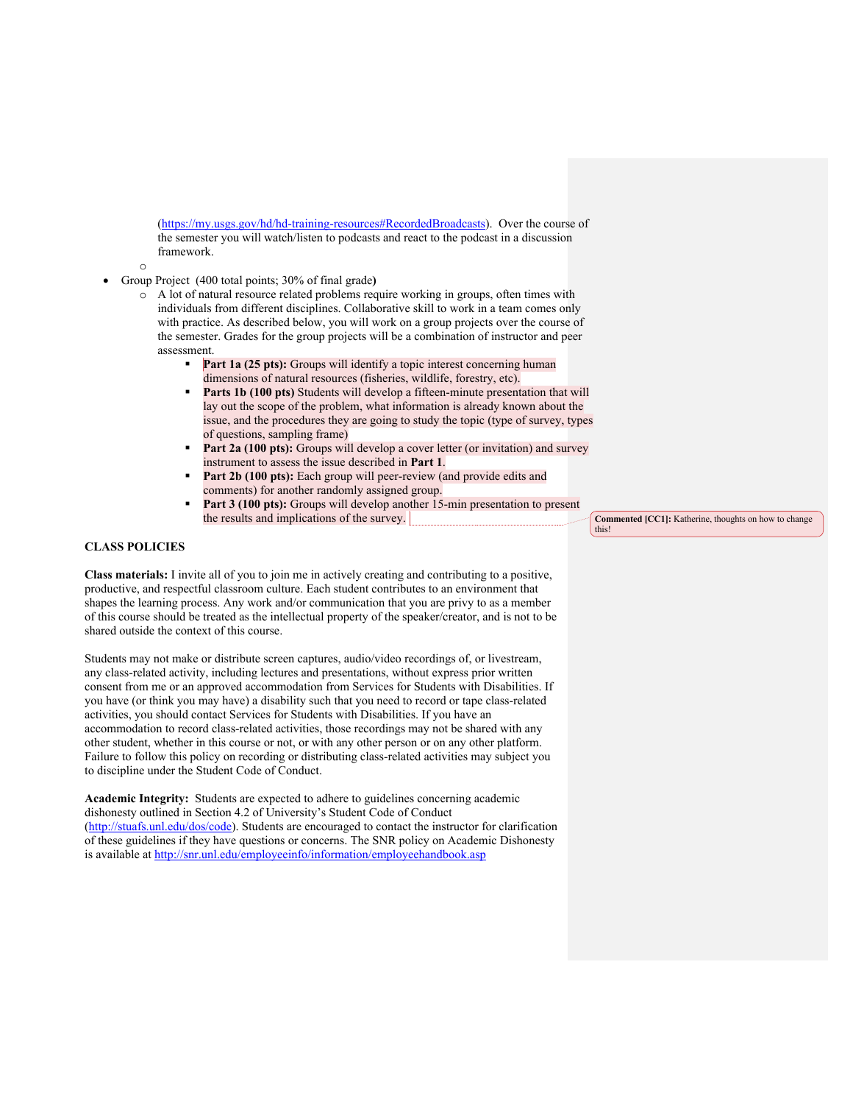(https://my.usgs.gov/hd/hd-training-resources#RecordedBroadcasts). Over the course of the semester you will watch/listen to podcasts and react to the podcast in a discussion framework.

- o
- Group Project (400 total points; 30% of final grade**)**
	- o A lot of natural resource related problems require working in groups, often times with individuals from different disciplines. Collaborative skill to work in a team comes only with practice. As described below, you will work on a group projects over the course of the semester. Grades for the group projects will be a combination of instructor and peer assessment.
		- **Part 1a (25 pts):** Groups will identify a topic interest concerning human dimensions of natural resources (fisheries, wildlife, forestry, etc).
		- Parts 1b (100 pts) Students will develop a fifteen-minute presentation that will lay out the scope of the problem, what information is already known about the issue, and the procedures they are going to study the topic (type of survey, types of questions, sampling frame)
		- **Part 2a (100 pts):** Groups will develop a cover letter (or invitation) and survey instrument to assess the issue described in **Part 1**.
		- Part 2b (100 pts): Each group will peer-review (and provide edits and comments) for another randomly assigned group.
		- Part 3 (100 pts): Groups will develop another 15-min presentation to present the results and implications of the survey.

## **CLASS POLICIES**

**Class materials:** I invite all of you to join me in actively creating and contributing to a positive, productive, and respectful classroom culture. Each student contributes to an environment that shapes the learning process. Any work and/or communication that you are privy to as a member of this course should be treated as the intellectual property of the speaker/creator, and is not to be shared outside the context of this course.

Students may not make or distribute screen captures, audio/video recordings of, or livestream, any class-related activity, including lectures and presentations, without express prior written consent from me or an approved accommodation from Services for Students with Disabilities. If you have (or think you may have) a disability such that you need to record or tape class-related activities, you should contact Services for Students with Disabilities. If you have an accommodation to record class-related activities, those recordings may not be shared with any other student, whether in this course or not, or with any other person or on any other platform. Failure to follow this policy on recording or distributing class-related activities may subject you to discipline under the Student Code of Conduct.

**Academic Integrity:** Students are expected to adhere to guidelines concerning academic dishonesty outlined in Section 4.2 of University's Student Code of Conduct (http://stuafs.unl.edu/dos/code). Students are encouraged to contact the instructor for clarification of these guidelines if they have questions or concerns. The SNR policy on Academic Dishonesty is available at http://snr.unl.edu/employeeinfo/information/employeehandbook.asp

**Commented [CC1]:** Katherine, thoughts on how to change this!